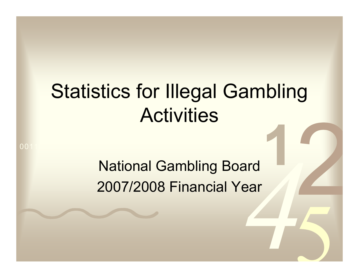# Statistics for Illegal Gambling **Activities**

National Gambling Board 2007/2008 Financial Year

0011 0010 1010 1101 0001 0100 1011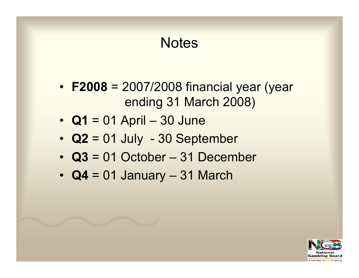#### **Notes**

- **F2008** = 2007/2008 financial year (year ending 31 March 2008)
- **Q1** = 01 April 30 June
- **Q2** = 01 July 30 September
- **Q3** = 01 October 31 December
- **Q4** = 01 January 31 March

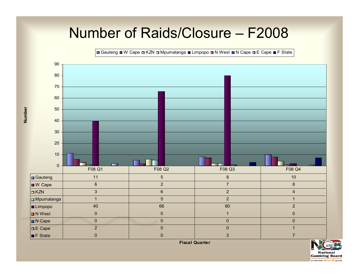#### Number of Raids/Closure – F2008

 $\Box$  Gauteng  $\Box$  W Cape  $\Box$  KZN  $\Box$  Mpumalanga  $\Box$  Limpopo  $\Box$  N West  $\Box$  N Cape  $\Box$  E Cape  $\Box$  F State



**Number**

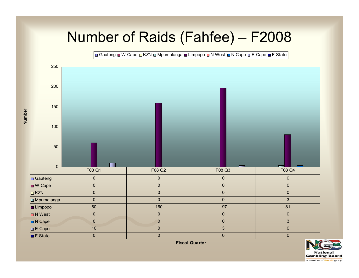#### Number of Raids (Fahfee) – F2008

B Gauteng ■ W Cape □ KZN □ Mpumalanga ■ Limpopo □ N West ■ N Cape □ E Cape ■ F State



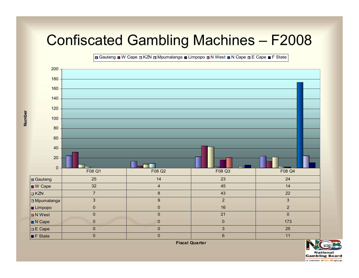#### Confiscated Gambling Machines – F2008

B Gauteng ■ W Cape ■ KZN ■ Mpumalanga ■ Limpopo ■ N West ■ N Cape ■ E Cape ■ F State



**Number**

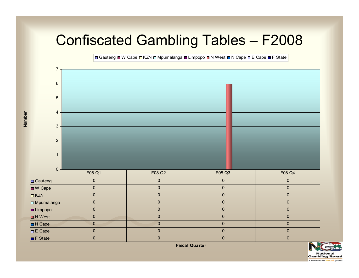#### Confiscated Gambling Tables – F2008

Buteng N Cape n KZN n Mpumalanga n Limpopo n N West n N Cape n E Cape n F State



**Number**

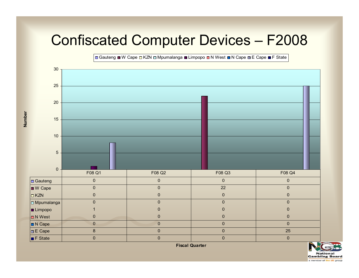### Confiscated Computer Devices – F2008

Gauteng W Cape  $\Box$  KZN  $\Box$  Mpumalanga  $\Box$  Limpopo  $\Box$  N West  $\Box$  N Cape  $\Box$  E Cape  $\Box$  F State



**Number**

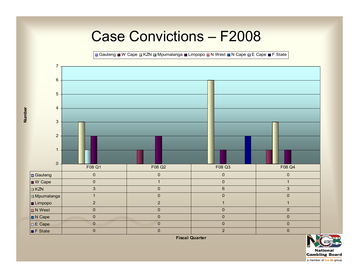#### Case Convictions – F2008

Gauteng W Cape N KZN Mpumalanga N Limpopo N West N Cape N E Cape N F State



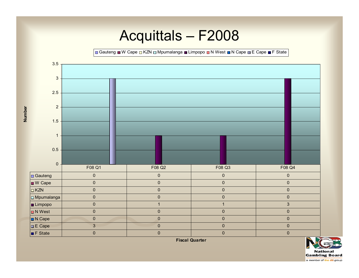#### Acquittals – F2008

Gauteng W Cape  $\Box$  KZN  $\Box$  Mpumalanga  $\Box$  Limpopo  $\Box$  N West  $\Box$  N Cape  $\Box$  E Cape  $\Box$  F State



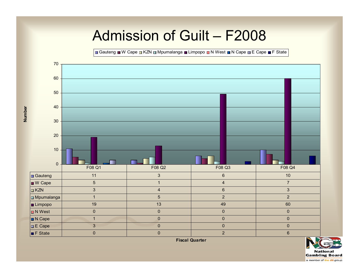#### Admission of Guilt – F2008

 $\Box$  Gauteng  $\Box$  W Cape  $\Box$  KZN  $\Box$  Mpumalanga  $\Box$  Limpopo  $\Box$  N West  $\Box$  N Cape  $\Box$  E Cape  $\Box$  F State



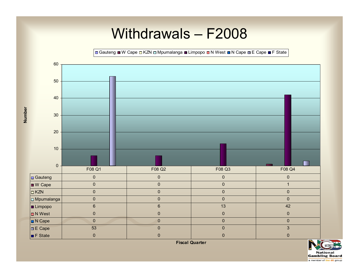#### Withdrawals – F2008 Gauteng W Cape  $\Box$  KZN  $\Box$  Mpumalanga W Limpopo  $\Box$  N West  $\Box$  N Cape  $\Box$  E Cape  $\Box$  F State 60 50403020 10. 0F08 Q1 F08 Q2 F08 Q3 F08 Q4Gauteng 0000 W Cape 0001  $\Box$ KZN N 0 0 0 0 0 0 Mpumalanga 0000 Limpopo 6 6 13 42 **D** N West 0000 N Cape 0000

**Number**

**Number** 

 $\blacksquare$  F State



E Cape | 53 | 0 | 0 | 3

0000

**National Gambling Board** a member of the dti group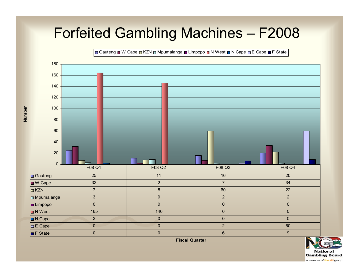#### Forfeited Gambling Machines – F2008

 $\Omega$ 20 406080100120140160180Gauteng W Cape M KZN Mpumalanga M Limpopo N West N Cape DE Cape M F State Gauteng 25 11 16 20 W Cape | 32 | 2 | 7 | 34  $n$ KZN N 3 8 8 60 22 Mpumalanga 3922 Limpopo 0000 **D** N West t | 165 | 146 | 165 | 165 | 165 | 165 | 165 | 165 | 165 | 165 | 165 | 165 | 165 | 165 | 165 | 165 | 165 | 165 N Cape 2000 E Cape | 0 | 0 | 2 | 60 **F** State e | 009 | 009 | 009 | 009 | 009 | 009 | 009 | 009 | 009 | 009 | 009 | 009 | 009 | 009 | 009 | 009 | 009 | 009 F08 Q1 F08 Q2 F08 Q3 F08 Q4

**Number**

Number

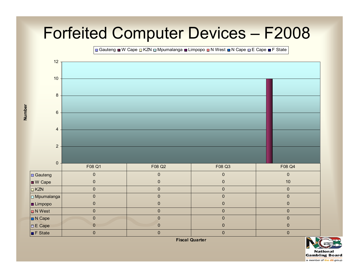## Forfeited Computer Devices – F2008

Gauteng W Cape  $\Box$  KZN  $\Box$  Mpumalanga W Limpopo  $\Box$  N West  $\Box$  N Cape  $\Box$  E Cape  $\Box$  F State



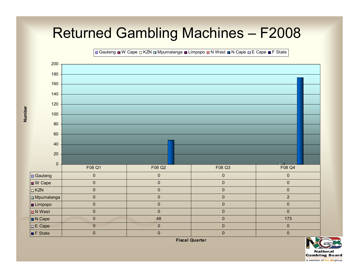#### Returned Gambling Machines – F2008

Gauteng W Cape DKZN D Mpumalanga W Limpopo D N West N Cape DE Cape W F State



**Number**

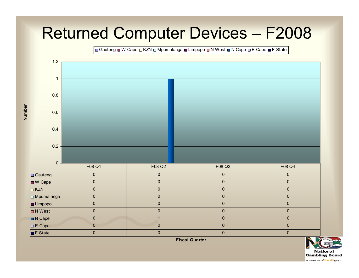## Returned Computer Devices – F2008

Gauteng W Cape  $\Box$  KZN  $\Box$  Mpumalanga W Limpopo N West N Cape  $\Box$  E Cape W F State



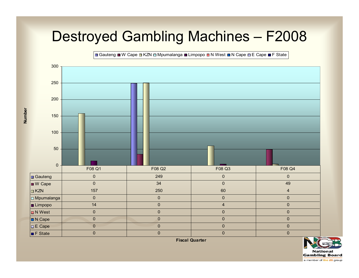#### Destroyed Gambling Machines – F2008

B Gauteng ■ W Cape ■ KZN □ Mpumalanga ■ Limpopo ■ N West ■ N Cape ■ E Cape ■ F State



**Number**

Number

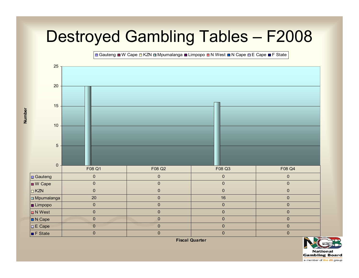## Destroyed Gambling Tables – F2008

B Gauteng ■ W Cape □ KZN □ Mpumalanga ■ Limpopo ■ N West ■ N Cape □ E Cape ■ F State



**Number**